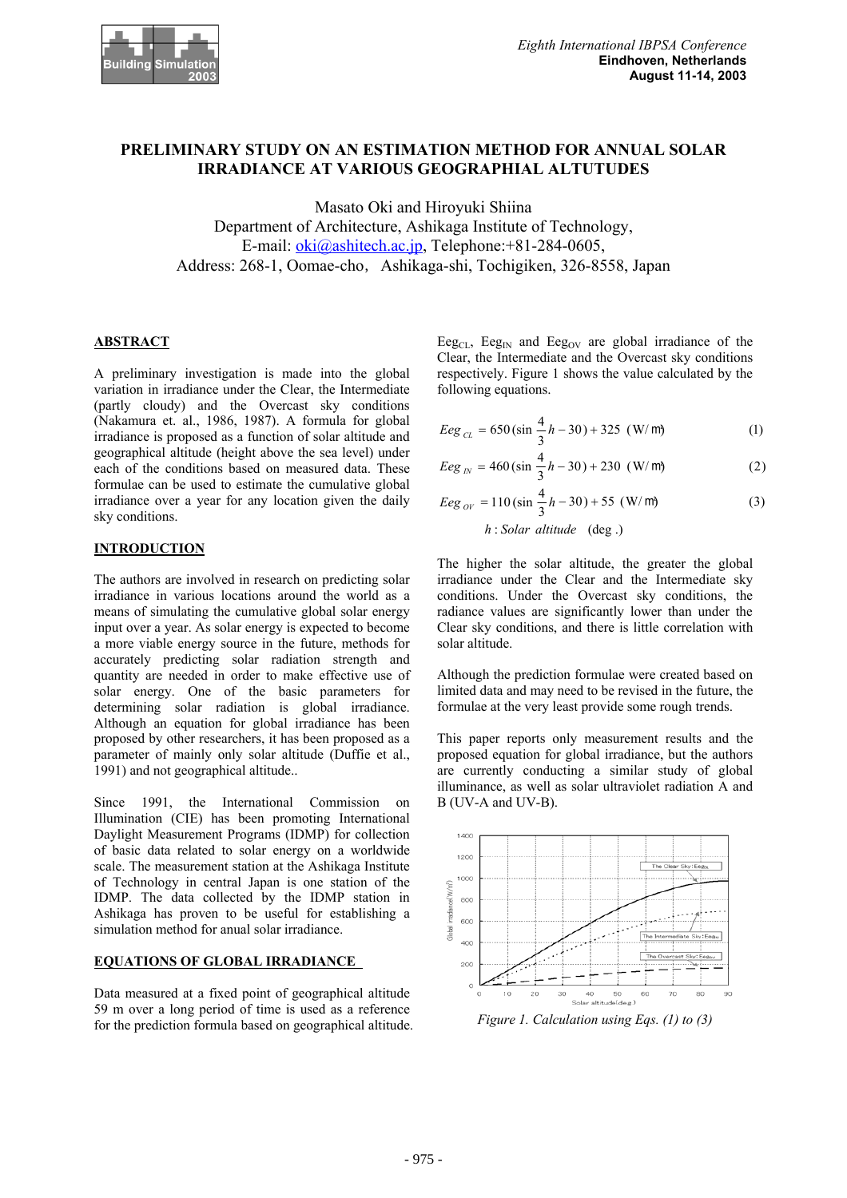

# **PRELIMINARY STUDY ON AN ESTIMATION METHOD FOR ANNUAL SOLAR IRRADIANCE AT VARIOUS GEOGRAPHIAL ALTUTUDES**

Masato Oki and Hiroyuki Shiina

Department of Architecture, Ashikaga Institute of Technology, E-mail: oki@ashitech.ac.jp, Telephone:+81-284-0605, Address: 268-1, Oomae-cho, Ashikaga-shi, Tochigiken, 326-8558, Japan

# **ABSTRACT**

A preliminary investigation is made into the global variation in irradiance under the Clear, the Intermediate (partly cloudy) and the Overcast sky conditions (Nakamura et. al., 1986, 1987). A formula for global irradiance is proposed as a function of solar altitude and geographical altitude (height above the sea level) under each of the conditions based on measured data. These formulae can be used to estimate the cumulative global irradiance over a year for any location given the daily sky conditions.

# **INTRODUCTION**

The authors are involved in research on predicting solar irradiance in various locations around the world as a means of simulating the cumulative global solar energy input over a year. As solar energy is expected to become a more viable energy source in the future, methods for accurately predicting solar radiation strength and quantity are needed in order to make effective use of solar energy. One of the basic parameters for determining solar radiation is global irradiance. Although an equation for global irradiance has been proposed by other researchers, it has been proposed as a parameter of mainly only solar altitude (Duffie et al., 1991) and not geographical altitude..

Since 1991, the International Commission on Illumination (CIE) has been promoting International Daylight Measurement Programs (IDMP) for collection of basic data related to solar energy on a worldwide scale. The measurement station at the Ashikaga Institute of Technology in central Japan is one station of the IDMP. The data collected by the IDMP station in Ashikaga has proven to be useful for establishing a simulation method for anual solar irradiance.

### **EQUATIONS OF GLOBAL IRRADIANCE**

Data measured at a fixed point of geographical altitude 59 m over a long period of time is used as a reference for the prediction formula based on geographical altitude.

Eeg<sub>CL</sub>, Eeg<sub>IN</sub> and Eeg<sub>OV</sub> are global irradiance of the Clear, the Intermediate and the Overcast sky conditions respectively. Figure 1 shows the value calculated by the following equations.

$$
Eeg_{CL} = 650 \left(\sin \frac{4}{3}h - 30\right) + 325 \left(W/m\right)
$$
 (1)

$$
Eeg_{N} = 460 \left( \sin \frac{4}{3}h - 30 \right) + 230 \, (W/m)
$$
 (2)

$$
Eeg_{\text{OV}} = 110 \left( \sin \frac{4}{3} h - 30 \right) + 55 \left( \text{W/m} \right)
$$
  

$$
h : \text{Solar altitude (deg.)}
$$
 (3)

The higher the solar altitude, the greater the global irradiance under the Clear and the Intermediate sky conditions. Under the Overcast sky conditions, the radiance values are significantly lower than under the Clear sky conditions, and there is little correlation with solar altitude.

Although the prediction formulae were created based on limited data and may need to be revised in the future, the formulae at the very least provide some rough trends.

This paper reports only measurement results and the proposed equation for global irradiance, but the authors are currently conducting a similar study of global illuminance, as well as solar ultraviolet radiation A and B (UV-A and UV-B).



*Figure 1. Calculation using Eqs. (1) to (3)*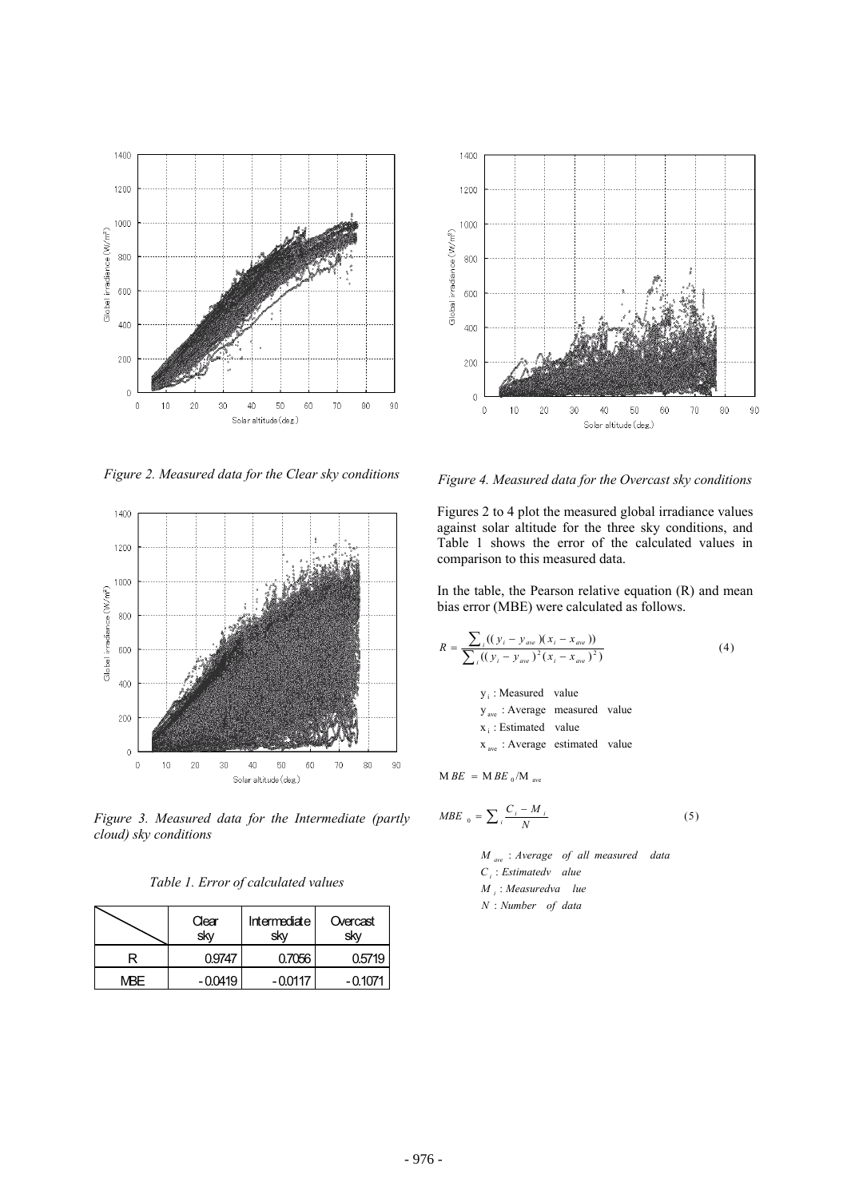



*Figure 2. Measured data for the Clear sky conditions* 



*Figure 3. Measured data for the Intermediate (partly cloud) sky conditions* 

*Table 1. Error of calculated values* 

|      | Clear<br>skv | Intermediate<br>skv | Overcast<br>skv |
|------|--------------|---------------------|-----------------|
|      | ገ9747        | 0.7056              | 0.5719          |
| MBF. | $-0.0419$    | $-00117$            | - 0 1071        |

*Figure 4. Measured data for the Overcast sky conditions*

Figures 2 to 4 plot the measured global irradiance values against solar altitude for the three sky conditions, and Table 1 shows the error of the calculated values in comparison to this measured data.

In the table, the Pearson relative equation (R) and mean bias error (MBE) were calculated as follows.

$$
R = \frac{\sum_{i} ((y_i - y_{ave})(x_i - x_{ave}))}{\sum_{i} ((y_i - y_{ave})^2 (x_i - x_{ave})^2)}
$$
(4)

 $x_{ave}$ : Average estimated value  $x_i$ : Estimated value y<sub>ave</sub>: Average measured value y<sub>i</sub>: Measured value

 $M \, BE = M \, BE \, _0/M \, _{ave}$ 

$$
MBE_0 = \sum_i \frac{C_i - M_i}{N}
$$
 (5)

*N Number of data* : *M*<sub>*i*</sub>: *Measuredva* lue  $C_i$ : *Estimatedv alue M*<sub>ave</sub>: Average of all measured data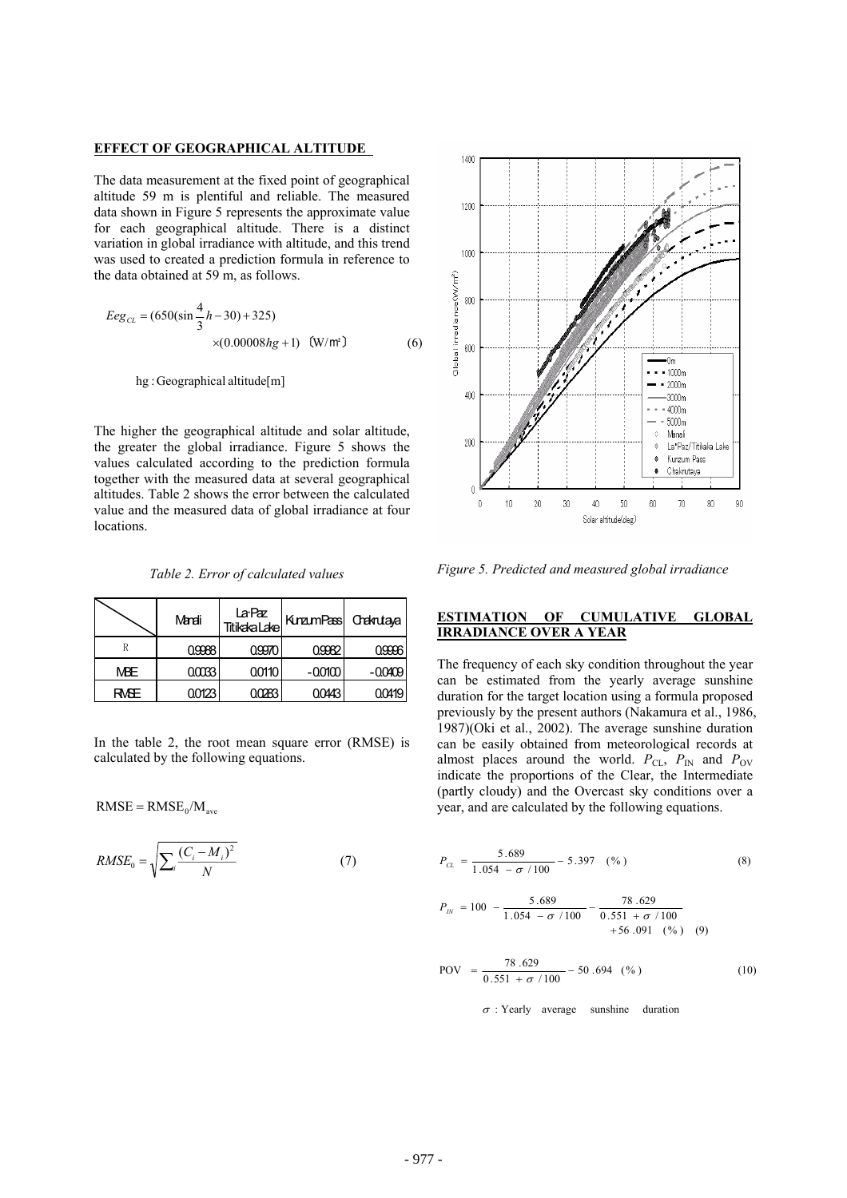#### **EFFECT OF GEOGRAPHICAL ALTITUDE**

The data measurement at the fixed point of geographical altitude 59 m is plentiful and reliable. The measured data shown in Figure 5 represents the approximate value for each geographical altitude. There is a distinct variation in global irradiance with altitude, and this trend was used to created a prediction formula in reference to the data obtained at 59 m, as follows.

$$
Eeg_{CL} = (650(\sin{\frac{4}{3}h} - 30) + 325)
$$
  
×(0.00008hg + 1) (W/m<sup>2</sup>) (6)

hg :Geographical altitude[m]

The higher the geographical altitude and solar altitude, the greater the global irradiance. Figure 5 shows the values calculated according to the prediction formula together with the measured data at several geographical altitudes. Table 2 shows the error between the calculated value and the measured data of global irradiance at four locations.

*Table 2. Error of calculated values* 

|      | Mandi  | La:Paz<br>Titikaka.Lake | KuramPass Creknutaya |           |
|------|--------|-------------------------|----------------------|-----------|
|      | 0.9988 | 0.9970                  | 0.9982               | 0.9996    |
| МBЕ  | 0.0033 | 0.0110                  | $-0.0100$            | $-0.0409$ |
| RMSE | 0.0123 |                         | ገበ443                | 0.0419    |

In the table 2, the root mean square error (RMSE) is calculated by the following equations.

$$
RMSE = RMSE_0/M_{ave}
$$

$$
RMSE_0 = \sqrt{\sum_{i} \frac{(C_i - M_i)^2}{N}}
$$
 (7)



*Figure 5. Predicted and measured global irradiance* 

### **ESTIMATION OF CUMULATIVE GLOBAL IRRADIANCE OVER A YEAR**

The frequency of each sky condition throughout the year can be estimated from the yearly average sunshine duration for the target location using a formula proposed previously by the present authors (Nakamura et al., 1986, 1987)(Oki et al., 2002). The average sunshine duration can be easily obtained from meteorological records at almost places around the world.  $P_{CL}$ ,  $P_{IN}$  and  $P_{OV}$ indicate the proportions of the Clear, the Intermediate (partly cloudy) and the Overcast sky conditions over a year, and are calculated by the following equations.

$$
P_{CL} = \frac{5.689}{1.054 - \sigma / 100} - 5.397 \quad (*)
$$
 (8)

$$
P_{I\!N} = 100 - \frac{5.689}{1.054 - \sigma / 100} - \frac{78.629}{0.551 + \sigma / 100} + 56.091 \text{ (*)}
$$
 (9)

$$
POV = \frac{78.629}{0.551 + \sigma / 100} - 50.694 \quad (*)
$$
 (10)

 $\sigma$  : Yearly average sunshine duration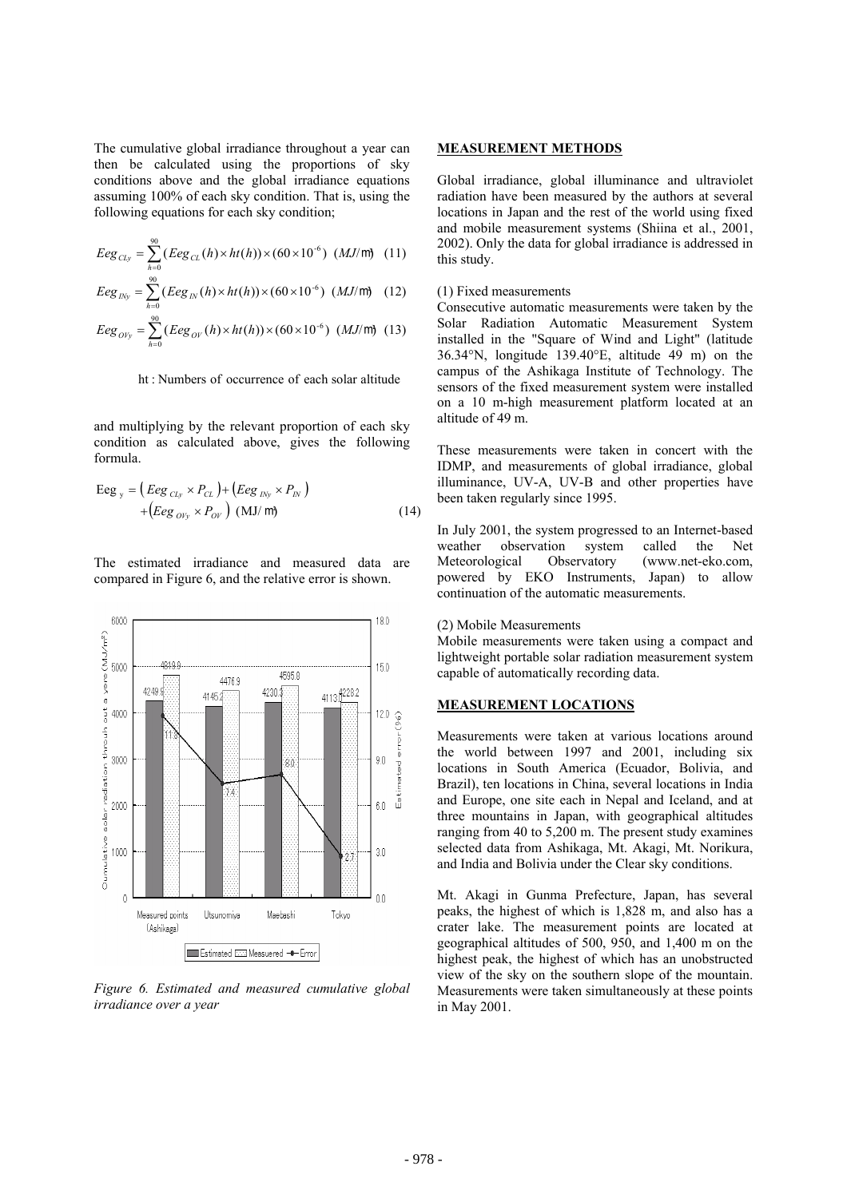The cumulative global irradiance throughout a year can then be calculated using the proportions of sky conditions above and the global irradiance equations assuming 100% of each sky condition. That is, using the following equations for each sky condition;

$$
Eeg_{CLy} = \sum_{h=0}^{90} (Eeg_{CL}(h) \times ht(h)) \times (60 \times 10^{-6}) (MJ/m) (11)
$$

$$
Eeg_{INy} = \sum_{h=0}^{90} (Eeg_{IN}(h) \times ht(h)) \times (60 \times 10^{-6}) (MJ/m) \quad (12)
$$

$$
Eeg_{OVy} = \sum_{h=0}^{90} (Eeg_{OV}(h) \times ht(h)) \times (60 \times 10^{-6}) \ (MJ/m) \ (13)
$$

ht : Numbers of occurrence of each solar altitude

and multiplying by the relevant proportion of each sky condition as calculated above, gives the following formula.

$$
Eeg_y = (Eeg_{\text{CLy}} \times P_{\text{CL}}) + (Eeg_{\text{INy}} \times P_{\text{IN}})
$$
  
+
$$
(Eeg_{\text{O/y}} \times P_{\text{OV}}) \text{ (MJ/m)}
$$
 (14)

The estimated irradiance and measured data are compared in Figure 6, and the relative error is shown.



*Figure 6. Estimated and measured cumulative global irradiance over a year* 

### **MEASUREMENT METHODS**

Global irradiance, global illuminance and ultraviolet radiation have been measured by the authors at several locations in Japan and the rest of the world using fixed and mobile measurement systems (Shiina et al., 2001, 2002). Only the data for global irradiance is addressed in this study.

#### (1) Fixed measurements

Consecutive automatic measurements were taken by the Solar Radiation Automatic Measurement System installed in the "Square of Wind and Light" (latitude 36.34°N, longitude 139.40°E, altitude 49 m) on the campus of the Ashikaga Institute of Technology. The sensors of the fixed measurement system were installed on a 10 m-high measurement platform located at an altitude of 49 m.

These measurements were taken in concert with the IDMP, and measurements of global irradiance, global illuminance, UV-A, UV-B and other properties have been taken regularly since 1995.

In July 2001, the system progressed to an Internet-based weather observation system called the Net Meteorological Observatory (www.net-eko.com, powered by EKO Instruments, Japan) to allow continuation of the automatic measurements.

### (2) Mobile Measurements

Mobile measurements were taken using a compact and lightweight portable solar radiation measurement system capable of automatically recording data.

### **MEASUREMENT LOCATIONS**

Measurements were taken at various locations around the world between 1997 and 2001, including six locations in South America (Ecuador, Bolivia, and Brazil), ten locations in China, several locations in India and Europe, one site each in Nepal and Iceland, and at three mountains in Japan, with geographical altitudes ranging from 40 to 5,200 m. The present study examines selected data from Ashikaga, Mt. Akagi, Mt. Norikura, and India and Bolivia under the Clear sky conditions.

Mt. Akagi in Gunma Prefecture, Japan, has several peaks, the highest of which is 1,828 m, and also has a crater lake. The measurement points are located at geographical altitudes of 500, 950, and 1,400 m on the highest peak, the highest of which has an unobstructed view of the sky on the southern slope of the mountain. Measurements were taken simultaneously at these points in May 2001.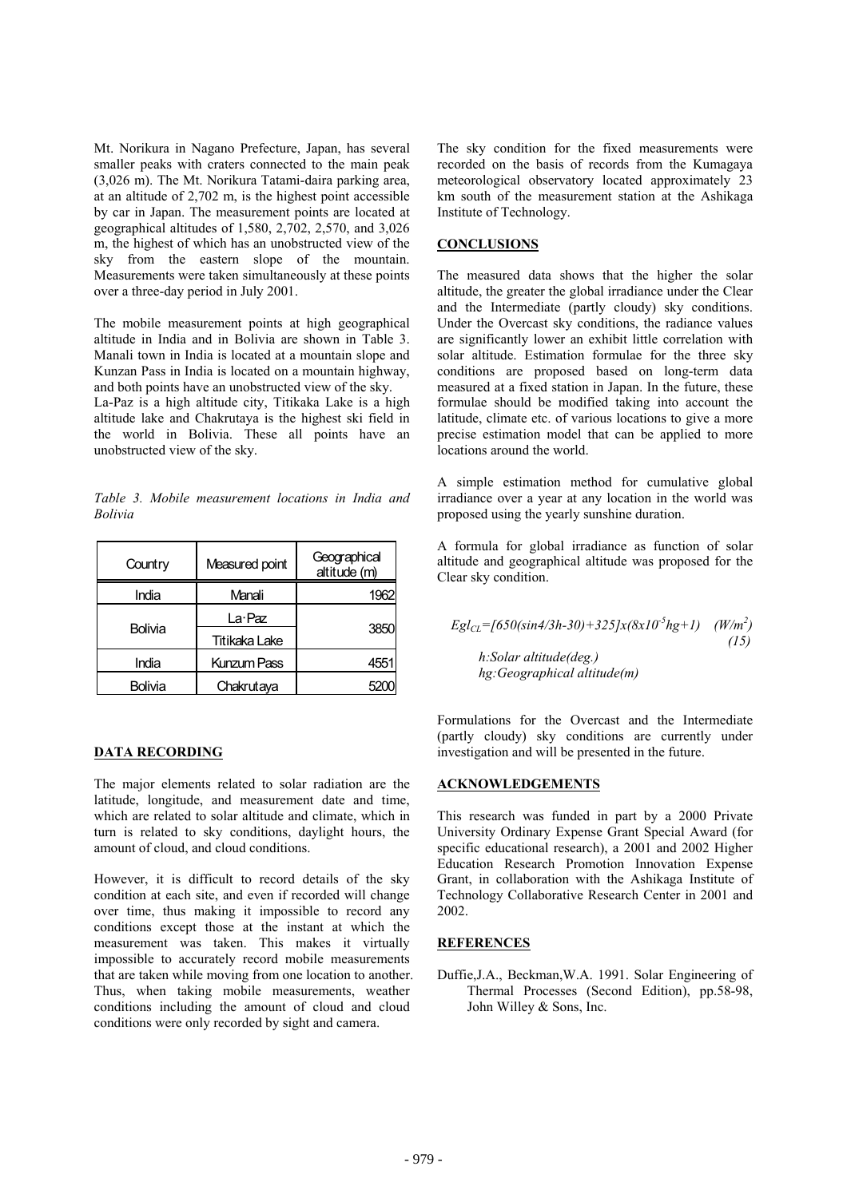Mt. Norikura in Nagano Prefecture, Japan, has several smaller peaks with craters connected to the main peak (3,026 m). The Mt. Norikura Tatami-daira parking area, at an altitude of 2,702 m, is the highest point accessible by car in Japan. The measurement points are located at geographical altitudes of 1,580, 2,702, 2,570, and 3,026 m, the highest of which has an unobstructed view of the sky from the eastern slope of the mountain. Measurements were taken simultaneously at these points over a three-day period in July 2001.

The mobile measurement points at high geographical altitude in India and in Bolivia are shown in Table 3. Manali town in India is located at a mountain slope and Kunzan Pass in India is located on a mountain highway, and both points have an unobstructed view of the sky. La-Paz is a high altitude city, Titikaka Lake is a high altitude lake and Chakrutaya is the highest ski field in the world in Bolivia. These all points have an unobstructed view of the sky.

*Table 3. Mobile measurement locations in India and Bolivia*

| Country | Measured point       | Geographical<br>altitude (m) |  |
|---------|----------------------|------------------------------|--|
| India   | Manali               | 1962                         |  |
|         | La Paz               | 3850                         |  |
| Bolivia | <b>Titikaka Lake</b> |                              |  |
| India   | Kunzum Pass          | 4551                         |  |
| Bolivia | Chakrutaya           |                              |  |

# **DATA RECORDING**

The major elements related to solar radiation are the latitude, longitude, and measurement date and time, which are related to solar altitude and climate, which in turn is related to sky conditions, daylight hours, the amount of cloud, and cloud conditions.

However, it is difficult to record details of the sky condition at each site, and even if recorded will change over time, thus making it impossible to record any conditions except those at the instant at which the measurement was taken. This makes it virtually impossible to accurately record mobile measurements that are taken while moving from one location to another. Thus, when taking mobile measurements, weather conditions including the amount of cloud and cloud conditions were only recorded by sight and camera.

The sky condition for the fixed measurements were recorded on the basis of records from the Kumagaya meteorological observatory located approximately 23 km south of the measurement station at the Ashikaga Institute of Technology.

# **CONCLUSIONS**

The measured data shows that the higher the solar altitude, the greater the global irradiance under the Clear and the Intermediate (partly cloudy) sky conditions. Under the Overcast sky conditions, the radiance values are significantly lower an exhibit little correlation with solar altitude. Estimation formulae for the three sky conditions are proposed based on long-term data measured at a fixed station in Japan. In the future, these formulae should be modified taking into account the latitude, climate etc. of various locations to give a more precise estimation model that can be applied to more locations around the world.

A simple estimation method for cumulative global irradiance over a year at any location in the world was proposed using the yearly sunshine duration.

A formula for global irradiance as function of solar altitude and geographical altitude was proposed for the Clear sky condition.

 $Egl_{CL}$ =[650(sin4/3h-30)+325]x(8x10<sup>-5</sup>hg+1) (W/m<sup>2</sup>) *(15) h:Solar altitude(deg.) hg:Geographical altitude(m)*

Formulations for the Overcast and the Intermediate (partly cloudy) sky conditions are currently under investigation and will be presented in the future.

### **ACKNOWLEDGEMENTS**

This research was funded in part by a 2000 Private University Ordinary Expense Grant Special Award (for specific educational research), a 2001 and 2002 Higher Education Research Promotion Innovation Expense Grant, in collaboration with the Ashikaga Institute of Technology Collaborative Research Center in 2001 and 2002.

### **REFERENCES**

Duffie,J.A., Beckman,W.A. 1991. Solar Engineering of Thermal Processes (Second Edition), pp.58-98, John Willey & Sons, Inc.